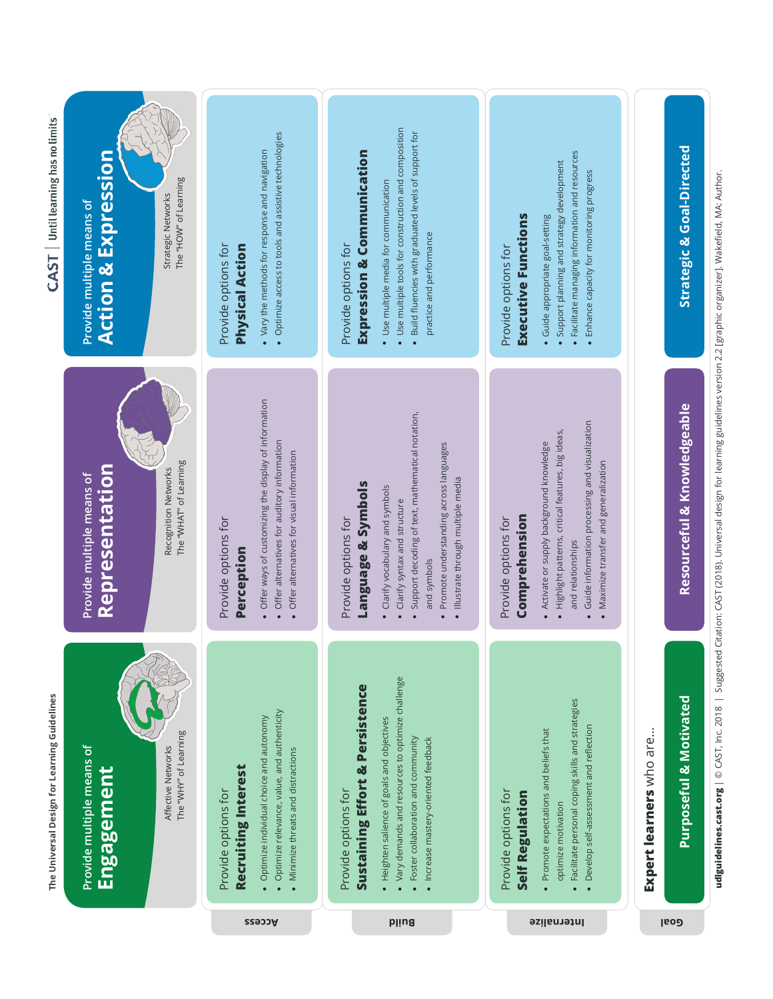

udiguidelines.cast.org | © CAST, Inc. 2018 | Suggested Citation: CAST (2018). Universal design for learning guidelines version 2.2 [graphic organizer]. Wakefield, MA: Author. **udlguidelines.cast.org** | © CAST, Inc. 2018 | Suggested Citation: CAST (2018). Universal design for learning guidelines version 2.2 [graphic organizer]. Wakefield, MA: Author.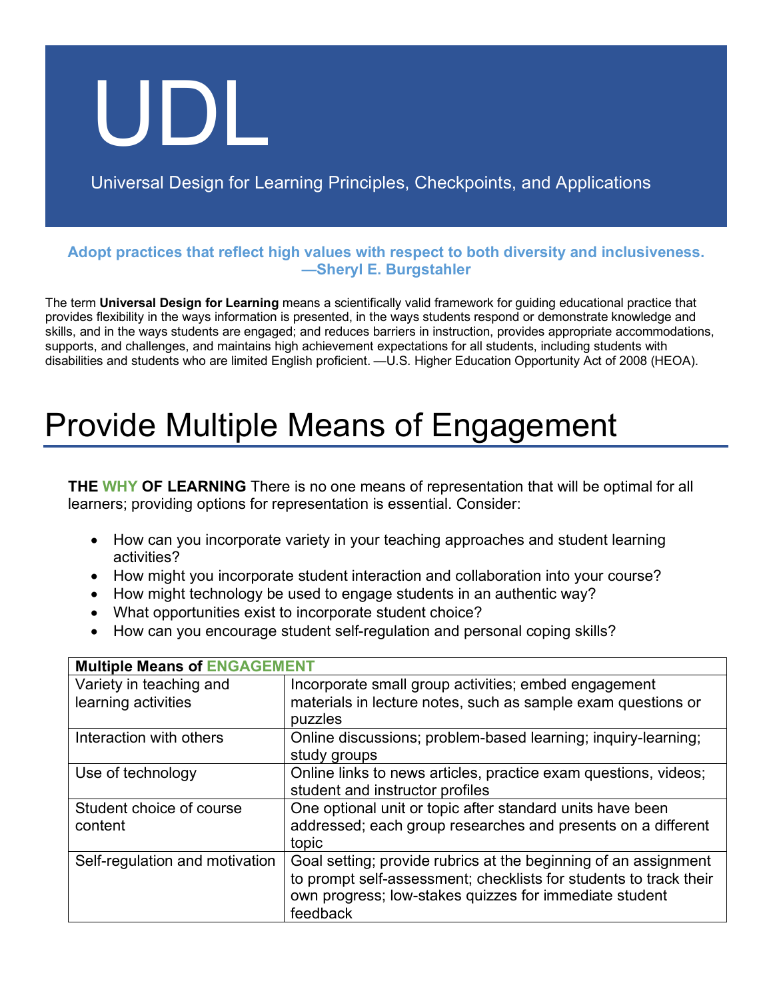UDL

Universal Design for Learning Principles, Checkpoints, and Applications

## **Adopt practices that reflect high values with respect to both diversity and inclusiveness. —Sheryl E. Burgstahler**

The term **Universal Design for Learning** means a scientifically valid framework for guiding educational practice that provides flexibility in the ways information is presented, in the ways students respond or demonstrate knowledge and skills, and in the ways students are engaged; and reduces barriers in instruction, provides appropriate accommodations, supports, and challenges, and maintains high achievement expectations for all students, including students with disabilities and students who are limited English proficient. —U.S. Higher Education Opportunity Act of 2008 (HEOA).

## Provide Multiple Means of Engagement

**THE WHY OF LEARNING** There is no one means of representation that will be optimal for all learners; providing options for representation is essential. Consider:

- How can you incorporate variety in your teaching approaches and student learning activities?
- How might you incorporate student interaction and collaboration into your course?
- How might technology be used to engage students in an authentic way?
- What opportunities exist to incorporate student choice?
- How can you encourage student self-regulation and personal coping skills?

| <b>Multiple Means of ENGAGEMENT</b> |                                                                   |  |
|-------------------------------------|-------------------------------------------------------------------|--|
| Variety in teaching and             | Incorporate small group activities; embed engagement              |  |
| learning activities                 | materials in lecture notes, such as sample exam questions or      |  |
|                                     | puzzles                                                           |  |
| Interaction with others             | Online discussions; problem-based learning; inquiry-learning;     |  |
|                                     | study groups                                                      |  |
| Use of technology                   | Online links to news articles, practice exam questions, videos;   |  |
|                                     | student and instructor profiles                                   |  |
| Student choice of course            | One optional unit or topic after standard units have been         |  |
| content                             | addressed; each group researches and presents on a different      |  |
|                                     | topic                                                             |  |
| Self-regulation and motivation      | Goal setting; provide rubrics at the beginning of an assignment   |  |
|                                     | to prompt self-assessment; checklists for students to track their |  |
|                                     | own progress; low-stakes quizzes for immediate student            |  |
|                                     | feedback                                                          |  |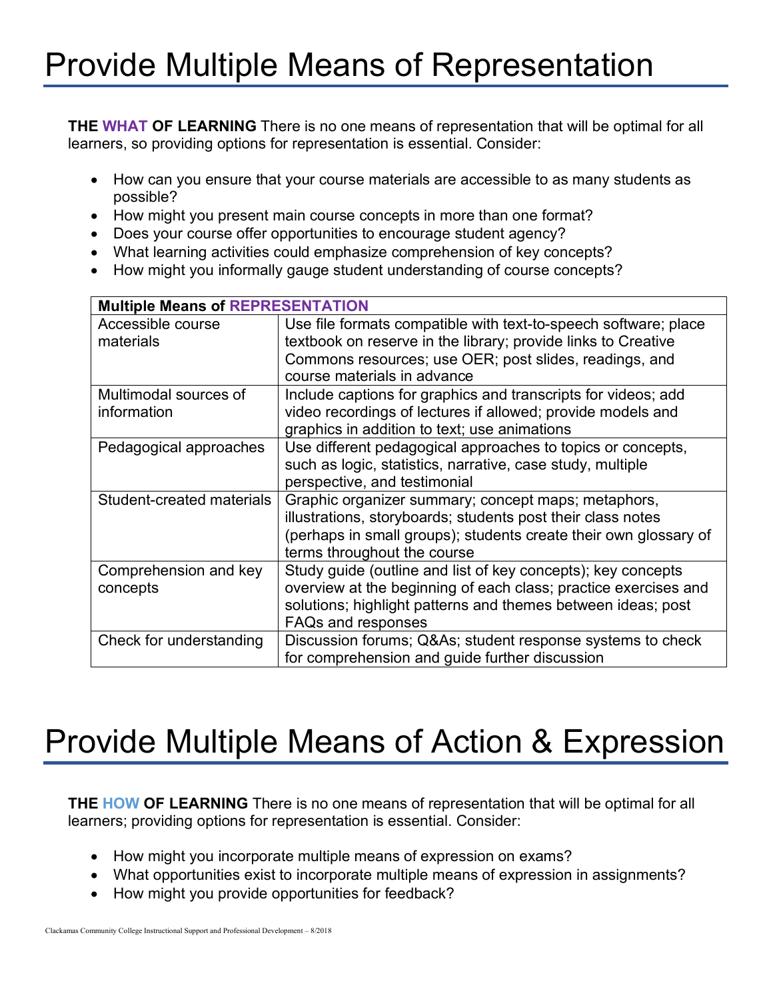**THE WHAT OF LEARNING** There is no one means of representation that will be optimal for all learners, so providing options for representation is essential. Consider:

- How can you ensure that your course materials are accessible to as many students as possible?
- How might you present main course concepts in more than one format?
- Does your course offer opportunities to encourage student agency?
- What learning activities could emphasize comprehension of key concepts?
- How might you informally gauge student understanding of course concepts?

| <b>Multiple Means of REPRESENTATION</b> |                                                                                                                                                                                                                           |  |
|-----------------------------------------|---------------------------------------------------------------------------------------------------------------------------------------------------------------------------------------------------------------------------|--|
| Accessible course<br>materials          | Use file formats compatible with text-to-speech software; place<br>textbook on reserve in the library; provide links to Creative<br>Commons resources; use OER; post slides, readings, and<br>course materials in advance |  |
| Multimodal sources of<br>information    | Include captions for graphics and transcripts for videos; add<br>video recordings of lectures if allowed; provide models and<br>graphics in addition to text; use animations                                              |  |
| Pedagogical approaches                  | Use different pedagogical approaches to topics or concepts,<br>such as logic, statistics, narrative, case study, multiple<br>perspective, and testimonial                                                                 |  |
| Student-created materials               | Graphic organizer summary; concept maps; metaphors,<br>illustrations, storyboards; students post their class notes<br>(perhaps in small groups); students create their own glossary of<br>terms throughout the course     |  |
| Comprehension and key<br>concepts       | Study quide (outline and list of key concepts); key concepts<br>overview at the beginning of each class; practice exercises and<br>solutions; highlight patterns and themes between ideas; post<br>FAQs and responses     |  |
| Check for understanding                 | Discussion forums; Q&As student response systems to check<br>for comprehension and guide further discussion                                                                                                               |  |

## Provide Multiple Means of Action & Expression

**THE HOW OF LEARNING** There is no one means of representation that will be optimal for all learners; providing options for representation is essential. Consider:

- How might you incorporate multiple means of expression on exams?
- What opportunities exist to incorporate multiple means of expression in assignments?
- How might you provide opportunities for feedback?